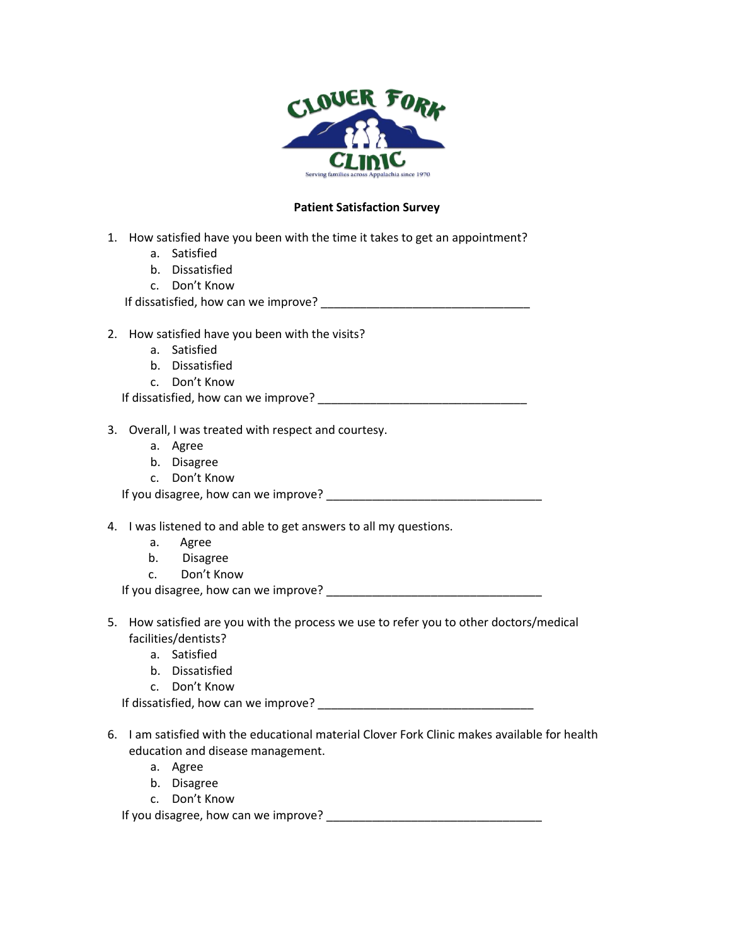

## **Patient Satisfaction Survey**

- 1. How satisfied have you been with the time it takes to get an appointment?
	- a. Satisfied
	- b. Dissatisfied
	- c. Don't Know

If dissatisfied, how can we improve?

- 2. How satisfied have you been with the visits?
	- a. Satisfied
	- b. Dissatisfied
	- c. Don't Know

If dissatisfied, how can we improve? \_\_\_\_\_\_\_\_\_\_\_\_\_\_\_\_\_\_\_\_\_\_\_\_\_\_\_\_\_\_\_\_

- 3. Overall, I was treated with respect and courtesy.
	- a. Agree
	- b. Disagree
	- c. Don't Know

If you disagree, how can we improve?

4. I was listened to and able to get answers to all my questions.

- a. Agree
- b. Disagree
- c. Don't Know

If you disagree, how can we improve?

- 5. How satisfied are you with the process we use to refer you to other doctors/medical facilities/dentists?
	- a. Satisfied
	- b. Dissatisfied
	- c. Don't Know

If dissatisfied, how can we improve? \_\_\_\_\_\_\_\_\_\_\_\_\_\_\_\_\_\_\_\_\_\_\_\_\_\_\_\_\_\_\_\_\_

- 6. I am satisfied with the educational material Clover Fork Clinic makes available for health education and disease management.
	- a. Agree
	- b. Disagree
	- c. Don't Know

If you disagree, how can we improve? \_\_\_\_\_\_\_\_\_\_\_\_\_\_\_\_\_\_\_\_\_\_\_\_\_\_\_\_\_\_\_\_\_